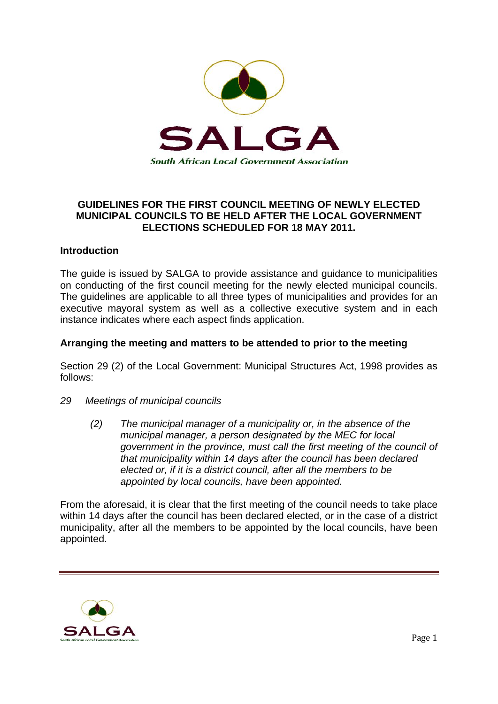

# **GUIDELINES FOR THE FIRST COUNCIL MEETING OF NEWLY ELECTED MUNICIPAL COUNCILS TO BE HELD AFTER THE LOCAL GOVERNMENT ELECTIONS SCHEDULED FOR 18 MAY 2011.**

### **Introduction**

The guide is issued by SALGA to provide assistance and guidance to municipalities on conducting of the first council meeting for the newly elected municipal councils. The guidelines are applicable to all three types of municipalities and provides for an executive mayoral system as well as a collective executive system and in each instance indicates where each aspect finds application.

### **Arranging the meeting and matters to be attended to prior to the meeting**

Section 29 (2) of the Local Government: Municipal Structures Act, 1998 provides as follows:

- *29 Meetings of municipal councils* 
	- *(2) The municipal manager of a municipality or, in the absence of the municipal manager, a person designated by the MEC for local government in the province, must call the first meeting of the council of that municipality within 14 days after the council has been declared elected or, if it is a district council, after all the members to be appointed by local councils, have been appointed.*

From the aforesaid, it is clear that the first meeting of the council needs to take place within 14 days after the council has been declared elected, or in the case of a district municipality, after all the members to be appointed by the local councils, have been appointed.

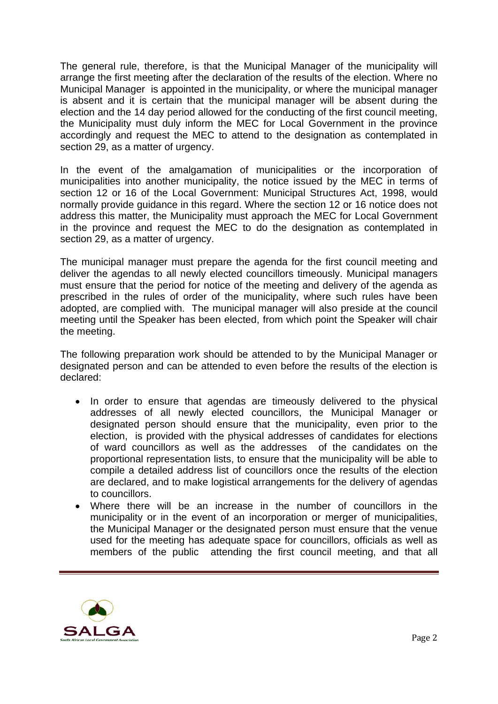The general rule, therefore, is that the Municipal Manager of the municipality will arrange the first meeting after the declaration of the results of the election. Where no Municipal Manager is appointed in the municipality, or where the municipal manager is absent and it is certain that the municipal manager will be absent during the election and the 14 day period allowed for the conducting of the first council meeting, the Municipality must duly inform the MEC for Local Government in the province accordingly and request the MEC to attend to the designation as contemplated in section 29, as a matter of urgency.

In the event of the amalgamation of municipalities or the incorporation of municipalities into another municipality, the notice issued by the MEC in terms of section 12 or 16 of the Local Government: Municipal Structures Act, 1998, would normally provide guidance in this regard. Where the section 12 or 16 notice does not address this matter, the Municipality must approach the MEC for Local Government in the province and request the MEC to do the designation as contemplated in section 29, as a matter of urgency.

The municipal manager must prepare the agenda for the first council meeting and deliver the agendas to all newly elected councillors timeously. Municipal managers must ensure that the period for notice of the meeting and delivery of the agenda as prescribed in the rules of order of the municipality, where such rules have been adopted, are complied with. The municipal manager will also preside at the council meeting until the Speaker has been elected, from which point the Speaker will chair the meeting.

The following preparation work should be attended to by the Municipal Manager or designated person and can be attended to even before the results of the election is declared:

- In order to ensure that agendas are timeously delivered to the physical addresses of all newly elected councillors, the Municipal Manager or designated person should ensure that the municipality, even prior to the election, is provided with the physical addresses of candidates for elections of ward councillors as well as the addresses of the candidates on the proportional representation lists, to ensure that the municipality will be able to compile a detailed address list of councillors once the results of the election are declared, and to make logistical arrangements for the delivery of agendas to councillors.
- Where there will be an increase in the number of councillors in the municipality or in the event of an incorporation or merger of municipalities, the Municipal Manager or the designated person must ensure that the venue used for the meeting has adequate space for councillors, officials as well as members of the public attending the first council meeting, and that all

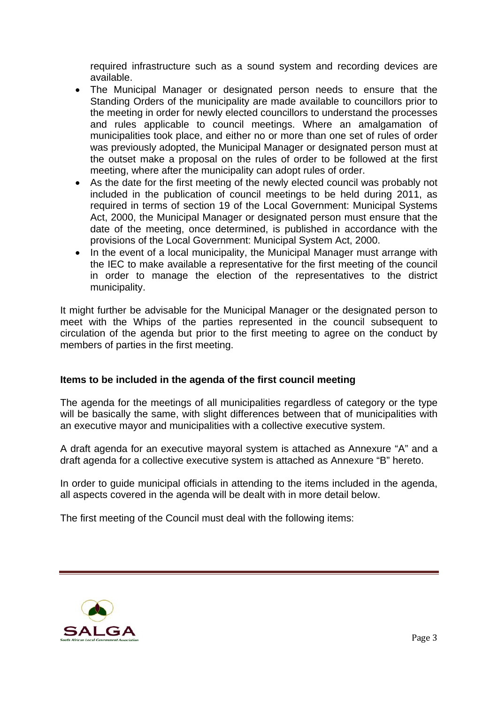required infrastructure such as a sound system and recording devices are available.

- The Municipal Manager or designated person needs to ensure that the Standing Orders of the municipality are made available to councillors prior to the meeting in order for newly elected councillors to understand the processes and rules applicable to council meetings. Where an amalgamation of municipalities took place, and either no or more than one set of rules of order was previously adopted, the Municipal Manager or designated person must at the outset make a proposal on the rules of order to be followed at the first meeting, where after the municipality can adopt rules of order.
- As the date for the first meeting of the newly elected council was probably not included in the publication of council meetings to be held during 2011, as required in terms of section 19 of the Local Government: Municipal Systems Act, 2000, the Municipal Manager or designated person must ensure that the date of the meeting, once determined, is published in accordance with the provisions of the Local Government: Municipal System Act, 2000.
- In the event of a local municipality, the Municipal Manager must arrange with the IEC to make available a representative for the first meeting of the council in order to manage the election of the representatives to the district municipality.

It might further be advisable for the Municipal Manager or the designated person to meet with the Whips of the parties represented in the council subsequent to circulation of the agenda but prior to the first meeting to agree on the conduct by members of parties in the first meeting.

### **Items to be included in the agenda of the first council meeting**

The agenda for the meetings of all municipalities regardless of category or the type will be basically the same, with slight differences between that of municipalities with an executive mayor and municipalities with a collective executive system.

A draft agenda for an executive mayoral system is attached as Annexure "A" and a draft agenda for a collective executive system is attached as Annexure "B" hereto.

In order to guide municipal officials in attending to the items included in the agenda, all aspects covered in the agenda will be dealt with in more detail below.

The first meeting of the Council must deal with the following items:

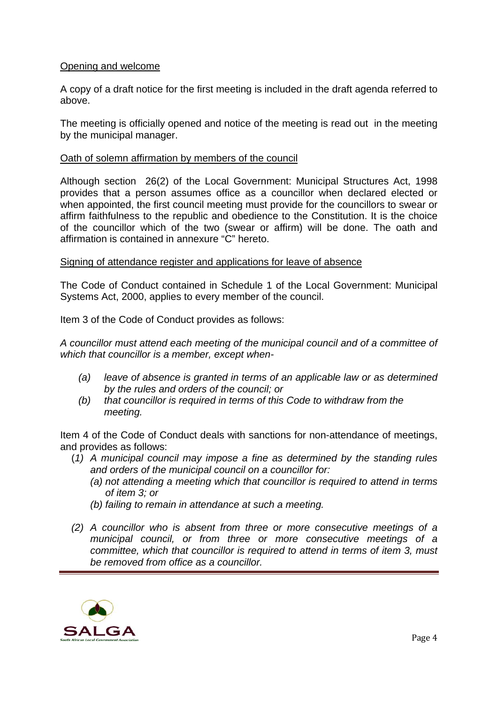## Opening and welcome

A copy of a draft notice for the first meeting is included in the draft agenda referred to above.

The meeting is officially opened and notice of the meeting is read out in the meeting by the municipal manager.

### Oath of solemn affirmation by members of the council

Although section 26(2) of the Local Government: Municipal Structures Act, 1998 provides that a person assumes office as a councillor when declared elected or when appointed, the first council meeting must provide for the councillors to swear or affirm faithfulness to the republic and obedience to the Constitution. It is the choice of the councillor which of the two (swear or affirm) will be done. The oath and affirmation is contained in annexure "C" hereto.

# Signing of attendance register and applications for leave of absence

The Code of Conduct contained in Schedule 1 of the Local Government: Municipal Systems Act, 2000, applies to every member of the council.

Item 3 of the Code of Conduct provides as follows:

*A councillor must attend each meeting of the municipal council and of a committee of which that councillor is a member, except when-* 

- *(a) leave of absence is granted in terms of an applicable law or as determined by the rules and orders of the council; or*
- *(b) that councillor is required in terms of this Code to withdraw from the meeting.*

Item 4 of the Code of Conduct deals with sanctions for non-attendance of meetings, and provides as follows:

- (*1) A municipal council may impose a fine as determined by the standing rules and orders of the municipal council on a councillor for:* 
	- *(a) not attending a meeting which that councillor is required to attend in terms of item 3; or*
	- *(b) failing to remain in attendance at such a meeting.*
- *(2) A councillor who is absent from three or more consecutive meetings of a municipal council, or from three or more consecutive meetings of a committee, which that councillor is required to attend in terms of item 3, must be removed from office as a councillor.*

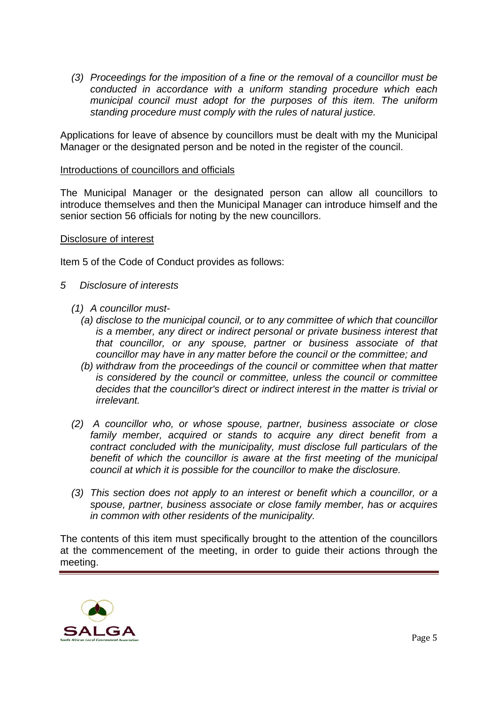*(3) Proceedings for the imposition of a fine or the removal of a councillor must be conducted in accordance with a uniform standing procedure which each municipal council must adopt for the purposes of this item. The uniform standing procedure must comply with the rules of natural justice.* 

Applications for leave of absence by councillors must be dealt with my the Municipal Manager or the designated person and be noted in the register of the council.

#### Introductions of councillors and officials

The Municipal Manager or the designated person can allow all councillors to introduce themselves and then the Municipal Manager can introduce himself and the senior section 56 officials for noting by the new councillors.

#### Disclosure of interest

Item 5 of the Code of Conduct provides as follows:

### *5 Disclosure of interests*

- *(1) A councillor must-* 
	- *(a) disclose to the municipal council, or to any committee of which that councillor is a member, any direct or indirect personal or private business interest that that councillor, or any spouse, partner or business associate of that councillor may have in any matter before the council or the committee; and*
	- *(b) withdraw from the proceedings of the council or committee when that matter is considered by the council or committee, unless the council or committee decides that the councillor's direct or indirect interest in the matter is trivial or irrelevant.*
- *(2) A councillor who, or whose spouse, partner, business associate or close*  family member, acquired or stands to acquire any direct benefit from a  *contract concluded with the municipality, must disclose full particulars of the benefit of which the councillor is aware at the first meeting of the municipal council at which it is possible for the councillor to make the disclosure.*
- *(3) This section does not apply to an interest or benefit which a councillor, or a spouse, partner, business associate or close family member, has or acquires in common with other residents of the municipality.*

The contents of this item must specifically brought to the attention of the councillors at the commencement of the meeting, in order to guide their actions through the meeting.

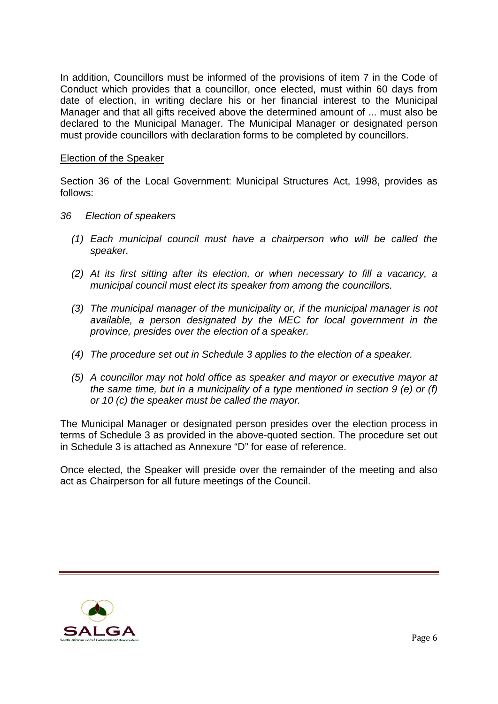In addition, Councillors must be informed of the provisions of item 7 in the Code of Conduct which provides that a councillor, once elected, must within 60 days from date of election, in writing declare his or her financial interest to the Municipal Manager and that all gifts received above the determined amount of ... must also be declared to the Municipal Manager. The Municipal Manager or designated person must provide councillors with declaration forms to be completed by councillors.

### Election of the Speaker

Section 36 of the Local Government: Municipal Structures Act, 1998, provides as follows:

- *36 Election of speakers* 
	- *(1) Each municipal council must have a chairperson who will be called the speaker.*
	- *(2) At its first sitting after its election, or when necessary to fill a vacancy, a municipal council must elect its speaker from among the councillors.*
	- *(3) The municipal manager of the municipality or, if the municipal manager is not available, a person designated by the MEC for local government in the province, presides over the election of a speaker.*
	- *(4) The procedure set out in Schedule 3 applies to the election of a speaker.*
	- *(5) A councillor may not hold office as speaker and mayor or executive mayor at the same time, but in a municipality of a type mentioned in section 9 (e) or (f) or 10 (c) the speaker must be called the mayor.*

The Municipal Manager or designated person presides over the election process in terms of Schedule 3 as provided in the above-quoted section. The procedure set out in Schedule 3 is attached as Annexure "D" for ease of reference.

Once elected, the Speaker will preside over the remainder of the meeting and also act as Chairperson for all future meetings of the Council.

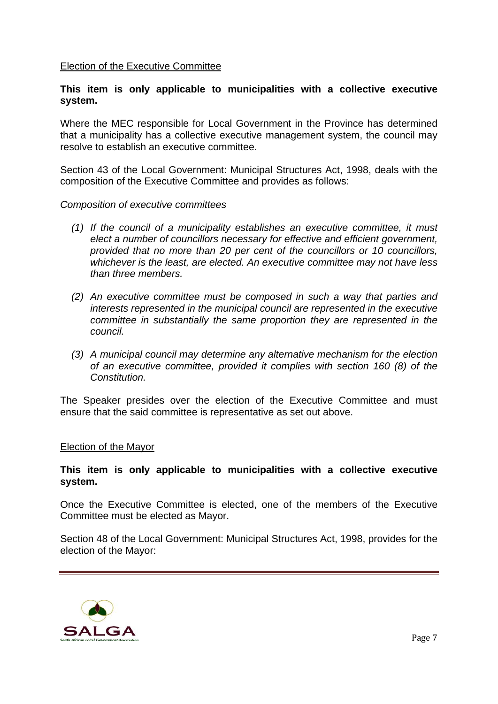### Election of the Executive Committee

### **This item is only applicable to municipalities with a collective executive system.**

Where the MEC responsible for Local Government in the Province has determined that a municipality has a collective executive management system, the council may resolve to establish an executive committee.

Section 43 of the Local Government: Municipal Structures Act, 1998, deals with the composition of the Executive Committee and provides as follows:

#### *Composition of executive committees*

- *(1) If the council of a municipality establishes an executive committee, it must elect a number of councillors necessary for effective and efficient government, provided that no more than 20 per cent of the councillors or 10 councillors, whichever is the least, are elected. An executive committee may not have less than three members.*
- *(2) An executive committee must be composed in such a way that parties and interests represented in the municipal council are represented in the executive committee in substantially the same proportion they are represented in the council.*
- *(3) A municipal council may determine any alternative mechanism for the election of an executive committee, provided it complies with section 160 (8) of the Constitution.*

The Speaker presides over the election of the Executive Committee and must ensure that the said committee is representative as set out above.

#### Election of the Mayor

### **This item is only applicable to municipalities with a collective executive system.**

Once the Executive Committee is elected, one of the members of the Executive Committee must be elected as Mayor.

Section 48 of the Local Government: Municipal Structures Act, 1998, provides for the election of the Mayor:

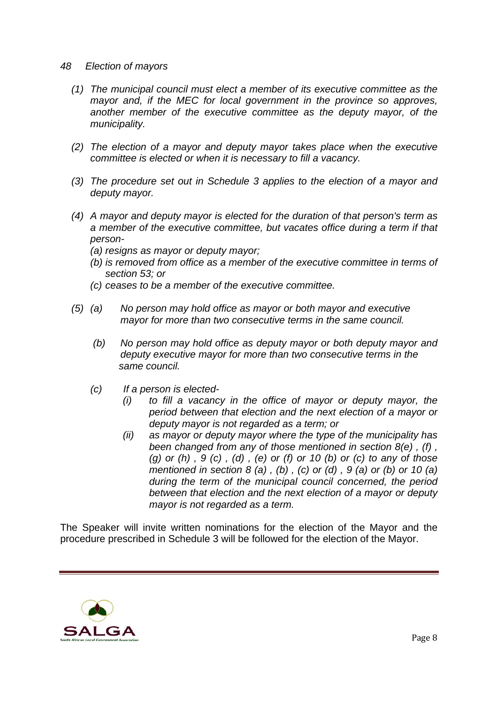#### *48 Election of mayors*

- *(1) The municipal council must elect a member of its executive committee as the mayor and, if the MEC for local government in the province so approves, another member of the executive committee as the deputy mayor, of the municipality.*
- *(2) The election of a mayor and deputy mayor takes place when the executive committee is elected or when it is necessary to fill a vacancy.*
- *(3) The procedure set out in Schedule 3 applies to the election of a mayor and deputy mayor.*
- *(4) A mayor and deputy mayor is elected for the duration of that person's term as a member of the executive committee, but vacates office during a term if that person-* 
	- *(a) resigns as mayor or deputy mayor;*
	- *(b) is removed from office as a member of the executive committee in terms of section 53; or*
	- *(c) ceases to be a member of the executive committee.*
- *(5) (a) No person may hold office as mayor or both mayor and executive mayor for more than two consecutive terms in the same council.* 
	- *(b) No person may hold office as deputy mayor or both deputy mayor and deputy executive mayor for more than two consecutive terms in the same council.*
	- *(c) If a person is elected-* 
		- *(i) to fill a vacancy in the office of mayor or deputy mayor, the period between that election and the next election of a mayor or deputy mayor is not regarded as a term; or*
		- *(ii) as mayor or deputy mayor where the type of the municipality has been changed from any of those mentioned in section 8(e) , (f) , (g) or (h) , 9 (c) , (d) , (e) or (f) or 10 (b) or (c) to any of those mentioned in section 8 (a) , (b) , (c) or (d) , 9 (a) or (b) or 10 (a) during the term of the municipal council concerned, the period between that election and the next election of a mayor or deputy mayor is not regarded as a term.*

The Speaker will invite written nominations for the election of the Mayor and the procedure prescribed in Schedule 3 will be followed for the election of the Mayor.

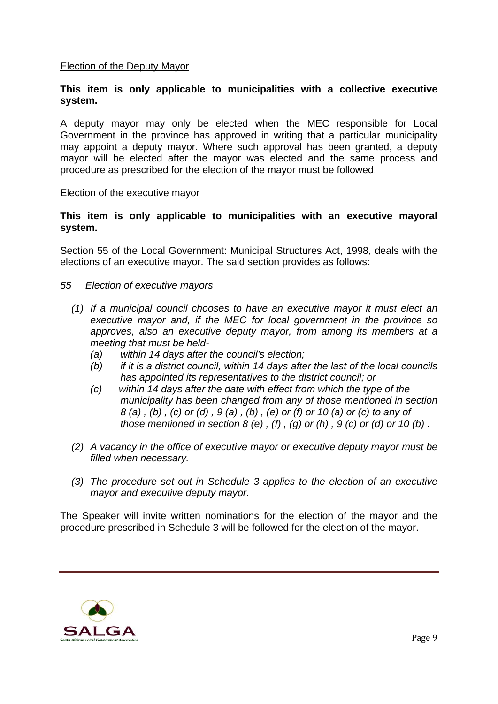## Election of the Deputy Mayor

## **This item is only applicable to municipalities with a collective executive system.**

A deputy mayor may only be elected when the MEC responsible for Local Government in the province has approved in writing that a particular municipality may appoint a deputy mayor. Where such approval has been granted, a deputy mayor will be elected after the mayor was elected and the same process and procedure as prescribed for the election of the mayor must be followed.

#### Election of the executive mayor

### **This item is only applicable to municipalities with an executive mayoral system.**

Section 55 of the Local Government: Municipal Structures Act, 1998, deals with the elections of an executive mayor. The said section provides as follows:

- *55 Election of executive mayors* 
	- *(1) If a municipal council chooses to have an executive mayor it must elect an executive mayor and, if the MEC for local government in the province so approves, also an executive deputy mayor, from among its members at a meeting that must be held-* 
		- *(a) within 14 days after the council's election;*
		- *(b) if it is a district council, within 14 days after the last of the local councils has appointed its representatives to the district council; or*
		- *(c) within 14 days after the date with effect from which the type of the municipality has been changed from any of those mentioned in section 8 (a) , (b) , (c) or (d) , 9 (a) , (b) , (e) or (f) or 10 (a) or (c) to any of those mentioned in section 8 (e) , (f) , (g) or (h) , 9 (c) or (d) or 10 (b) .*
	- *(2) A vacancy in the office of executive mayor or executive deputy mayor must be filled when necessary.*
	- *(3) The procedure set out in Schedule 3 applies to the election of an executive mayor and executive deputy mayor.*

The Speaker will invite written nominations for the election of the mayor and the procedure prescribed in Schedule 3 will be followed for the election of the mayor.

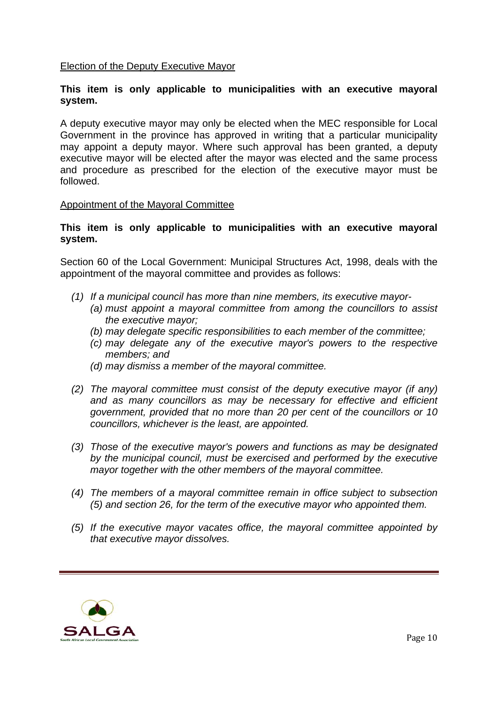### Election of the Deputy Executive Mayor

### **This item is only applicable to municipalities with an executive mayoral system.**

A deputy executive mayor may only be elected when the MEC responsible for Local Government in the province has approved in writing that a particular municipality may appoint a deputy mayor. Where such approval has been granted, a deputy executive mayor will be elected after the mayor was elected and the same process and procedure as prescribed for the election of the executive mayor must be followed.

#### Appointment of the Mayoral Committee

### **This item is only applicable to municipalities with an executive mayoral system.**

Section 60 of the Local Government: Municipal Structures Act, 1998, deals with the appointment of the mayoral committee and provides as follows:

- *(1) If a municipal council has more than nine members, its executive mayor-* 
	- *(a) must appoint a mayoral committee from among the councillors to assist the executive mayor;*
	- *(b) may delegate specific responsibilities to each member of the committee;*
	- *(c) may delegate any of the executive mayor's powers to the respective members; and*
	- *(d) may dismiss a member of the mayoral committee.*
- *(2) The mayoral committee must consist of the deputy executive mayor (if any) and as many councillors as may be necessary for effective and efficient government, provided that no more than 20 per cent of the councillors or 10 councillors, whichever is the least, are appointed.*
- *(3) Those of the executive mayor's powers and functions as may be designated by the municipal council, must be exercised and performed by the executive mayor together with the other members of the mayoral committee.*
- *(4) The members of a mayoral committee remain in office subject to subsection (5) and section 26, for the term of the executive mayor who appointed them.*
- *(5) If the executive mayor vacates office, the mayoral committee appointed by that executive mayor dissolves.*

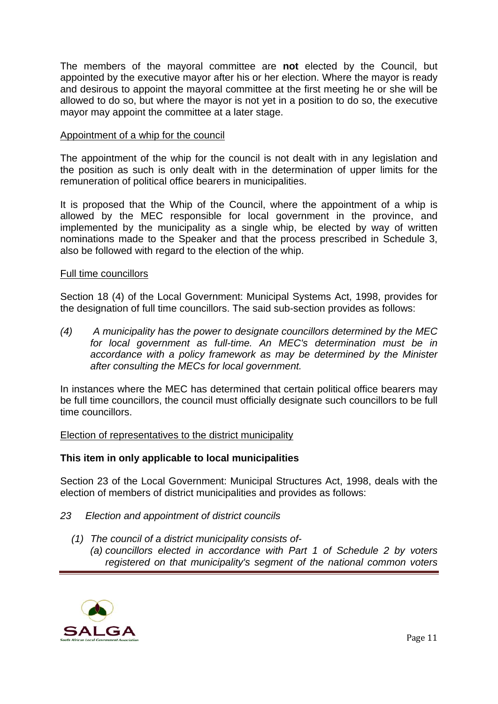The members of the mayoral committee are **not** elected by the Council, but appointed by the executive mayor after his or her election. Where the mayor is ready and desirous to appoint the mayoral committee at the first meeting he or she will be allowed to do so, but where the mayor is not yet in a position to do so, the executive mayor may appoint the committee at a later stage.

### Appointment of a whip for the council

The appointment of the whip for the council is not dealt with in any legislation and the position as such is only dealt with in the determination of upper limits for the remuneration of political office bearers in municipalities.

It is proposed that the Whip of the Council, where the appointment of a whip is allowed by the MEC responsible for local government in the province, and implemented by the municipality as a single whip, be elected by way of written nominations made to the Speaker and that the process prescribed in Schedule 3, also be followed with regard to the election of the whip.

#### Full time councillors

Section 18 (4) of the Local Government: Municipal Systems Act, 1998, provides for the designation of full time councillors. The said sub-section provides as follows:

*(4) A municipality has the power to designate councillors determined by the MEC for local government as full-time. An MEC's determination must be in accordance with a policy framework as may be determined by the Minister after consulting the MECs for local government.* 

In instances where the MEC has determined that certain political office bearers may be full time councillors, the council must officially designate such councillors to be full time councillors.

### Election of representatives to the district municipality

#### **This item in only applicable to local municipalities**

Section 23 of the Local Government: Municipal Structures Act, 1998, deals with the election of members of district municipalities and provides as follows:

- *23 Election and appointment of district councils* 
	- *(1) The council of a district municipality consists of- (a) councillors elected in accordance with Part 1 of Schedule 2 by voters registered on that municipality's segment of the national common voters*

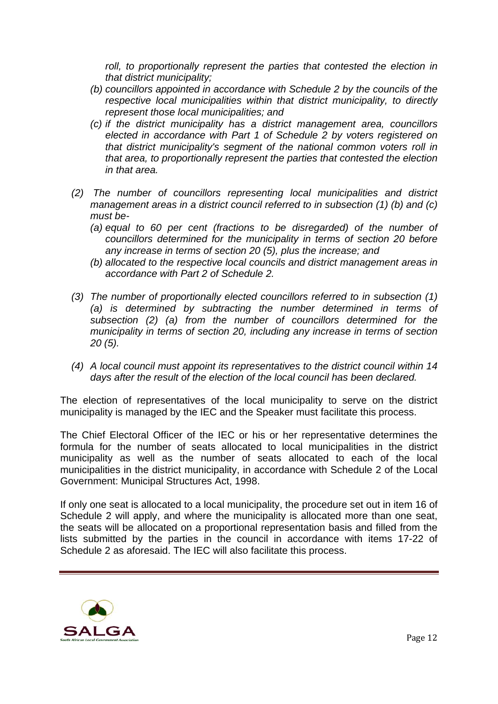roll, to proportionally represent the parties that contested the election in *that district municipality;* 

- *(b) councillors appointed in accordance with Schedule 2 by the councils of the respective local municipalities within that district municipality, to directly represent those local municipalities; and*
- *(c) if the district municipality has a district management area, councillors elected in accordance with Part 1 of Schedule 2 by voters registered on that district municipality's segment of the national common voters roll in that area, to proportionally represent the parties that contested the election in that area.*
- *(2) The number of councillors representing local municipalities and district management areas in a district council referred to in subsection (1) (b) and (c) must be-* 
	- *(a) equal to 60 per cent (fractions to be disregarded) of the number of councillors determined for the municipality in terms of section 20 before any increase in terms of section 20 (5), plus the increase; and*
	- *(b) allocated to the respective local councils and district management areas in accordance with Part 2 of Schedule 2.*
- *(3) The number of proportionally elected councillors referred to in subsection (1) (a) is determined by subtracting the number determined in terms of subsection (2) (a) from the number of councillors determined for the municipality in terms of section 20, including any increase in terms of section 20 (5).*
- *(4) A local council must appoint its representatives to the district council within 14 days after the result of the election of the local council has been declared.*

The election of representatives of the local municipality to serve on the district municipality is managed by the IEC and the Speaker must facilitate this process.

The Chief Electoral Officer of the IEC or his or her representative determines the formula for the number of seats allocated to local municipalities in the district municipality as well as the number of seats allocated to each of the local municipalities in the district municipality, in accordance with Schedule 2 of the Local Government: Municipal Structures Act, 1998.

If only one seat is allocated to a local municipality, the procedure set out in item 16 of Schedule 2 will apply, and where the municipality is allocated more than one seat, the seats will be allocated on a proportional representation basis and filled from the lists submitted by the parties in the council in accordance with items 17-22 of Schedule 2 as aforesaid. The IEC will also facilitate this process.

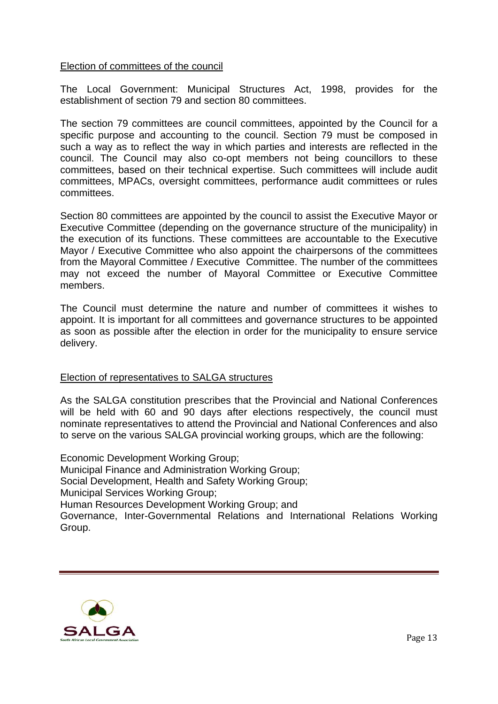### Election of committees of the council

The Local Government: Municipal Structures Act, 1998, provides for the establishment of section 79 and section 80 committees.

The section 79 committees are council committees, appointed by the Council for a specific purpose and accounting to the council. Section 79 must be composed in such a way as to reflect the way in which parties and interests are reflected in the council. The Council may also co-opt members not being councillors to these committees, based on their technical expertise. Such committees will include audit committees, MPACs, oversight committees, performance audit committees or rules committees.

Section 80 committees are appointed by the council to assist the Executive Mayor or Executive Committee (depending on the governance structure of the municipality) in the execution of its functions. These committees are accountable to the Executive Mayor / Executive Committee who also appoint the chairpersons of the committees from the Mayoral Committee / Executive Committee. The number of the committees may not exceed the number of Mayoral Committee or Executive Committee members.

The Council must determine the nature and number of committees it wishes to appoint. It is important for all committees and governance structures to be appointed as soon as possible after the election in order for the municipality to ensure service delivery.

### Election of representatives to SALGA structures

As the SALGA constitution prescribes that the Provincial and National Conferences will be held with 60 and 90 days after elections respectively, the council must nominate representatives to attend the Provincial and National Conferences and also to serve on the various SALGA provincial working groups, which are the following:

Economic Development Working Group; Municipal Finance and Administration Working Group; Social Development, Health and Safety Working Group; Municipal Services Working Group; Human Resources Development Working Group; and Governance, Inter-Governmental Relations and International Relations Working Group.

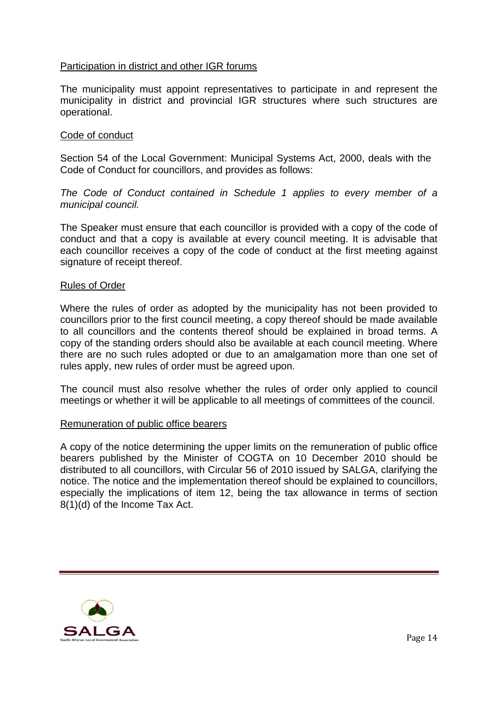### Participation in district and other IGR forums

The municipality must appoint representatives to participate in and represent the municipality in district and provincial IGR structures where such structures are operational.

#### Code of conduct

Section 54 of the Local Government: Municipal Systems Act, 2000, deals with the Code of Conduct for councillors, and provides as follows:

*The Code of Conduct contained in Schedule 1 applies to every member of a municipal council.* 

The Speaker must ensure that each councillor is provided with a copy of the code of conduct and that a copy is available at every council meeting. It is advisable that each councillor receives a copy of the code of conduct at the first meeting against signature of receipt thereof.

#### Rules of Order

Where the rules of order as adopted by the municipality has not been provided to councillors prior to the first council meeting, a copy thereof should be made available to all councillors and the contents thereof should be explained in broad terms. A copy of the standing orders should also be available at each council meeting. Where there are no such rules adopted or due to an amalgamation more than one set of rules apply, new rules of order must be agreed upon.

The council must also resolve whether the rules of order only applied to council meetings or whether it will be applicable to all meetings of committees of the council.

#### Remuneration of public office bearers

A copy of the notice determining the upper limits on the remuneration of public office bearers published by the Minister of COGTA on 10 December 2010 should be distributed to all councillors, with Circular 56 of 2010 issued by SALGA, clarifying the notice. The notice and the implementation thereof should be explained to councillors, especially the implications of item 12, being the tax allowance in terms of section 8(1)(d) of the Income Tax Act.

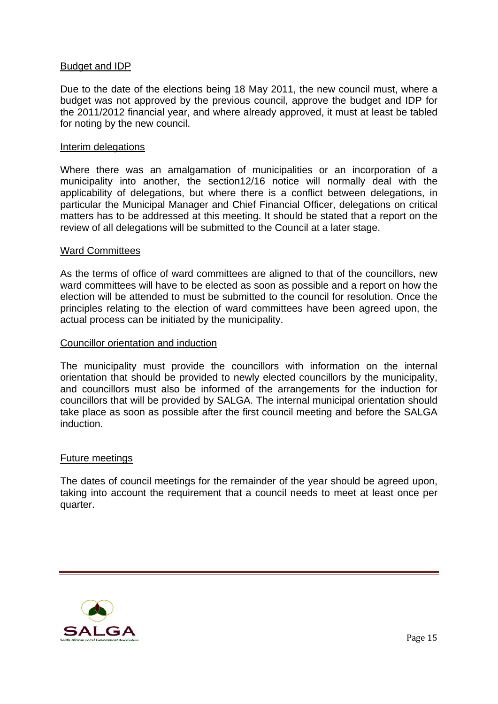### Budget and IDP

Due to the date of the elections being 18 May 2011, the new council must, where a budget was not approved by the previous council, approve the budget and IDP for the 2011/2012 financial year, and where already approved, it must at least be tabled for noting by the new council.

#### Interim delegations

Where there was an amalgamation of municipalities or an incorporation of a municipality into another, the section12/16 notice will normally deal with the applicability of delegations, but where there is a conflict between delegations, in particular the Municipal Manager and Chief Financial Officer, delegations on critical matters has to be addressed at this meeting. It should be stated that a report on the review of all delegations will be submitted to the Council at a later stage.

#### Ward Committees

As the terms of office of ward committees are aligned to that of the councillors, new ward committees will have to be elected as soon as possible and a report on how the election will be attended to must be submitted to the council for resolution. Once the principles relating to the election of ward committees have been agreed upon, the actual process can be initiated by the municipality.

#### Councillor orientation and induction

The municipality must provide the councillors with information on the internal orientation that should be provided to newly elected councillors by the municipality, and councillors must also be informed of the arrangements for the induction for councillors that will be provided by SALGA. The internal municipal orientation should take place as soon as possible after the first council meeting and before the SALGA induction.

#### Future meetings

The dates of council meetings for the remainder of the year should be agreed upon, taking into account the requirement that a council needs to meet at least once per quarter.

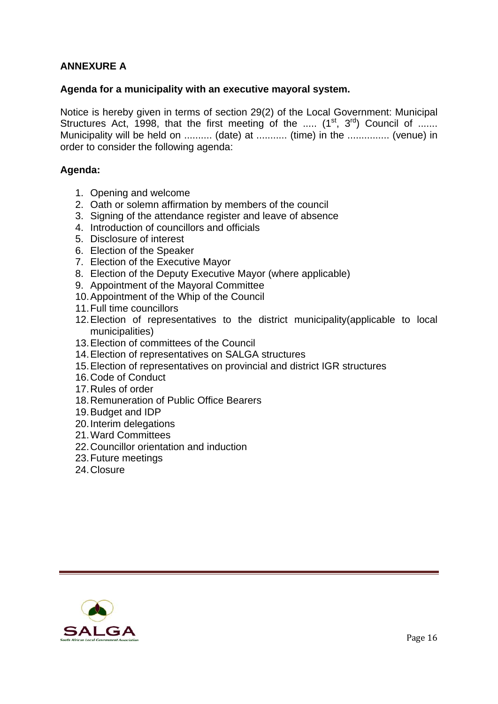# **ANNEXURE A**

### **Agenda for a municipality with an executive mayoral system.**

Notice is hereby given in terms of section 29(2) of the Local Government: Municipal Structures Act, 1998, that the first meeting of the .....  $(1^{st}, 3^{rd})$  Council of ...... Municipality will be held on ........... (date) at ........... (time) in the ................ (venue) in order to consider the following agenda:

### **Agenda:**

- 1. Opening and welcome
- 2. Oath or solemn affirmation by members of the council
- 3. Signing of the attendance register and leave of absence
- 4. Introduction of councillors and officials
- 5. Disclosure of interest
- 6. Election of the Speaker
- 7. Election of the Executive Mayor
- 8. Election of the Deputy Executive Mayor (where applicable)
- 9. Appointment of the Mayoral Committee
- 10. Appointment of the Whip of the Council
- 11. Full time councillors
- 12. Election of representatives to the district municipality(applicable to local municipalities)
- 13. Election of committees of the Council
- 14. Election of representatives on SALGA structures
- 15. Election of representatives on provincial and district IGR structures
- 16. Code of Conduct
- 17. Rules of order
- 18. Remuneration of Public Office Bearers
- 19. Budget and IDP
- 20. Interim delegations
- 21. Ward Committees
- 22. Councillor orientation and induction
- 23. Future meetings
- 24. Closure

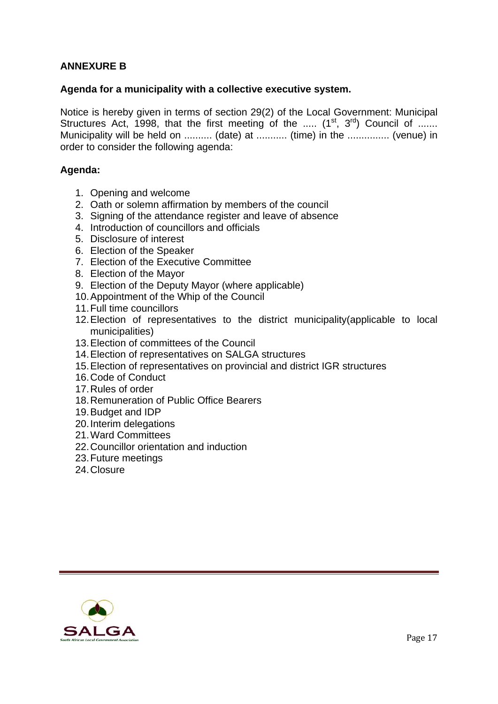# **ANNEXURE B**

### **Agenda for a municipality with a collective executive system.**

Notice is hereby given in terms of section 29(2) of the Local Government: Municipal Structures Act, 1998, that the first meeting of the .....  $(1^{st}, 3^{rd})$  Council of ...... Municipality will be held on ........... (date) at ........... (time) in the ................ (venue) in order to consider the following agenda:

### **Agenda:**

- 1. Opening and welcome
- 2. Oath or solemn affirmation by members of the council
- 3. Signing of the attendance register and leave of absence
- 4. Introduction of councillors and officials
- 5. Disclosure of interest
- 6. Election of the Speaker
- 7. Election of the Executive Committee
- 8. Election of the Mayor
- 9. Election of the Deputy Mayor (where applicable)
- 10. Appointment of the Whip of the Council
- 11. Full time councillors
- 12. Election of representatives to the district municipality(applicable to local municipalities)
- 13. Election of committees of the Council
- 14. Election of representatives on SALGA structures
- 15. Election of representatives on provincial and district IGR structures
- 16. Code of Conduct
- 17. Rules of order
- 18. Remuneration of Public Office Bearers
- 19. Budget and IDP
- 20. Interim delegations
- 21. Ward Committees
- 22. Councillor orientation and induction
- 23. Future meetings
- 24. Closure

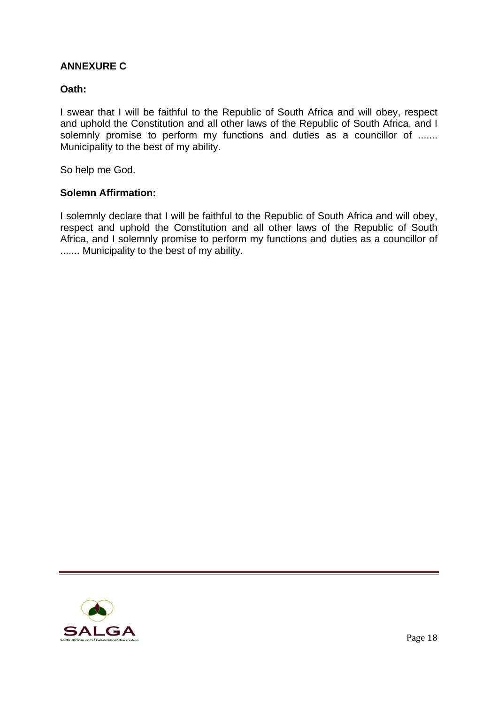# **ANNEXURE C**

## **Oath:**

I swear that I will be faithful to the Republic of South Africa and will obey, respect and uphold the Constitution and all other laws of the Republic of South Africa, and I solemnly promise to perform my functions and duties as a councillor of ....... Municipality to the best of my ability.

So help me God.

### **Solemn Affirmation:**

I solemnly declare that I will be faithful to the Republic of South Africa and will obey, respect and uphold the Constitution and all other laws of the Republic of South Africa, and I solemnly promise to perform my functions and duties as a councillor of ....... Municipality to the best of my ability.

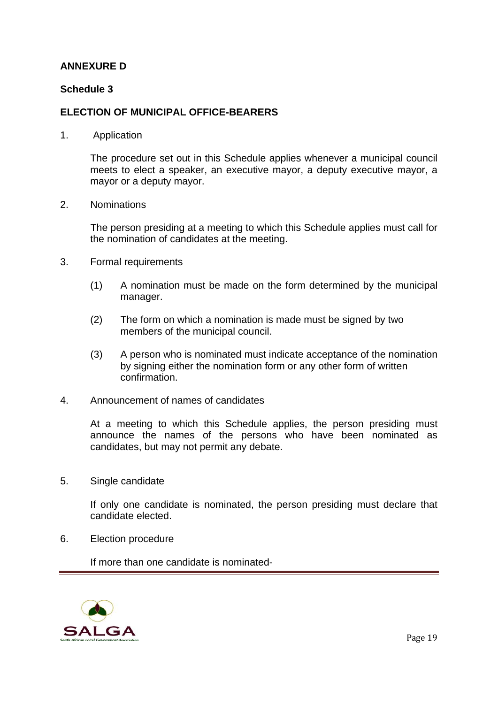# **ANNEXURE D**

### **Schedule 3**

### **ELECTION OF MUNICIPAL OFFICE-BEARERS**

1. Application

 The procedure set out in this Schedule applies whenever a municipal council meets to elect a speaker, an executive mayor, a deputy executive mayor, a mayor or a deputy mayor.

2. Nominations

 The person presiding at a meeting to which this Schedule applies must call for the nomination of candidates at the meeting.

- 3. Formal requirements
	- (1) A nomination must be made on the form determined by the municipal manager.
	- (2) The form on which a nomination is made must be signed by two members of the municipal council.
	- (3) A person who is nominated must indicate acceptance of the nomination by signing either the nomination form or any other form of written confirmation.
- 4. Announcement of names of candidates

 At a meeting to which this Schedule applies, the person presiding must announce the names of the persons who have been nominated as candidates, but may not permit any debate.

5. Single candidate

 If only one candidate is nominated, the person presiding must declare that candidate elected.

6. Election procedure

If more than one candidate is nominated-